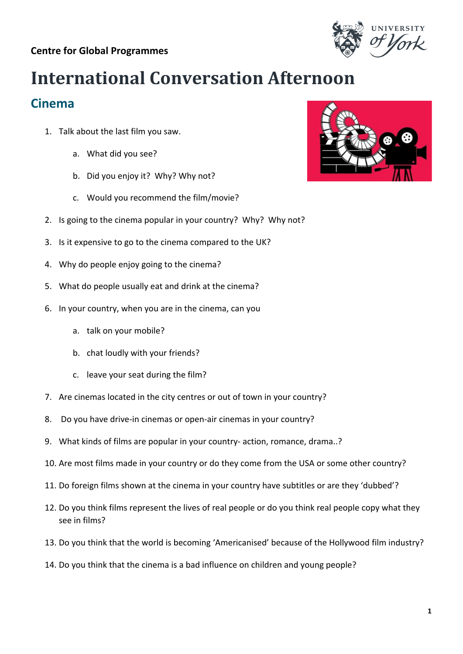## **Centre for Global Programmes**

## **International Conversation Afternoon**

## **Cinema**

- 1. Talk about the last film you saw.
	- a. What did you see?
	- b. Did you enjoy it? Why? Why not?
	- c. Would you recommend the film/movie?
- 2. Is going to the cinema popular in your country? Why? Why not?
- 3. Is it expensive to go to the cinema compared to the UK?
- 4. Why do people enjoy going to the cinema?
- 5. What do people usually eat and drink at the cinema?
- 6. In your country, when you are in the cinema, can you
	- a. talk on your mobile?
	- b. chat loudly with your friends?
	- c. leave your seat during the film?
- 7. Are cinemas located in the city centres or out of town in your country?
- 8. Do you have drive-in cinemas or open-air cinemas in your country?
- 9. What kinds of films are popular in your country- action, romance, drama..?
- 10. Are most films made in your country or do they come from the USA or some other country?
- 11. Do foreign films shown at the cinema in your country have subtitles or are they 'dubbed'?
- 12. Do you think films represent the lives of real people or do you think real people copy what they see in films?
- 13. Do you think that the world is becoming 'Americanised' because of the Hollywood film industry?
- 14. Do you think that the cinema is a bad influence on children and young people?